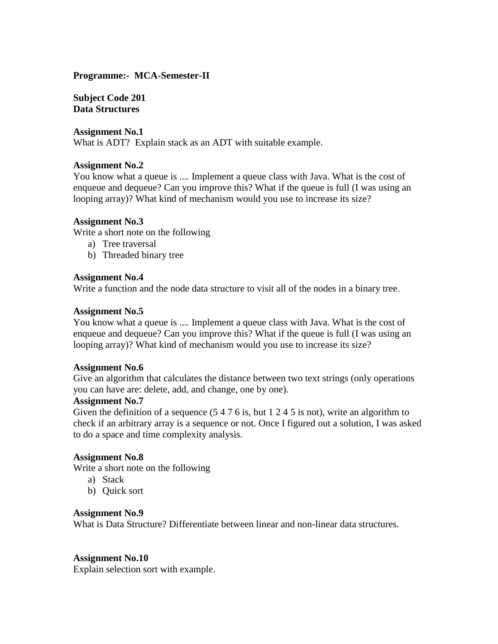## **Programme:- MCA-Semester-II**

**Subject Code 201 Data Structures** 

## **Assignment No.1**

What is ADT? Explain stack as an ADT with suitable example.

## **Assignment No.2**

You know what a queue is .... Implement a queue class with Java. What is the cost of enqueue and dequeue? Can you improve this? What if the queue is full (I was using an looping array)? What kind of mechanism would you use to increase its size?

## **Assignment No.3**

Write a short note on the following

- a) Tree traversal
- b) Threaded binary tree

## **Assignment No.4**

Write a function and the node data structure to visit all of the nodes in a binary tree.

## **Assignment No.5**

You know what a queue is .... Implement a queue class with Java. What is the cost of enqueue and dequeue? Can you improve this? What if the queue is full (I was using an looping array)? What kind of mechanism would you use to increase its size?

#### **Assignment No.6**

Give an algorithm that calculates the distance between two text strings (only operations you can have are: delete, add, and change, one by one).

#### **Assignment No.7**

Given the definition of a sequence  $(5 4 7 6 i s, but 1 2 4 5 i s not)$ , write an algorithm to check if an arbitrary array is a sequence or not. Once I figured out a solution, I was asked to do a space and time complexity analysis.

# **Assignment No.8**

Write a short note on the following

- a) Stack
- b) Quick sort

#### **Assignment No.9**

What is Data Structure? Differentiate between linear and non-linear data structures.

#### **Assignment No.10**

Explain selection sort with example.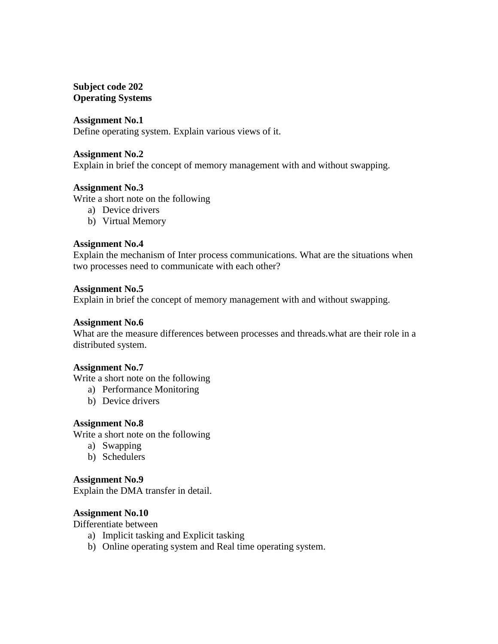# **Subject code 202 Operating Systems**

## **Assignment No.1**

Define operating system. Explain various views of it.

#### **Assignment No.2**

Explain in brief the concept of memory management with and without swapping.

## **Assignment No.3**

Write a short note on the following

- a) Device drivers
- b) Virtual Memory

#### **Assignment No.4**

Explain the mechanism of Inter process communications. What are the situations when two processes need to communicate with each other?

## **Assignment No.5**

Explain in brief the concept of memory management with and without swapping.

#### **Assignment No.6**

What are the measure differences between processes and threads.what are their role in a distributed system.

#### **Assignment No.7**

Write a short note on the following

- a) Performance Monitoring
- b) Device drivers

#### **Assignment No.8**

Write a short note on the following

- a) Swapping
- b) Schedulers

#### **Assignment No.9**

Explain the DMA transfer in detail.

#### **Assignment No.10**

Differentiate between

- a) Implicit tasking and Explicit tasking
- b) Online operating system and Real time operating system.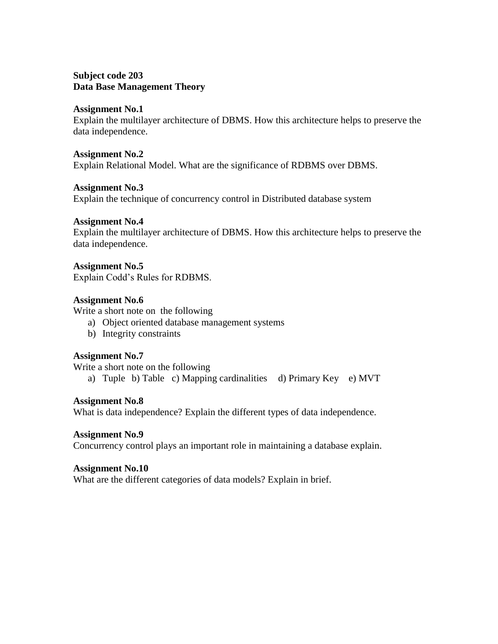# **Subject code 203 Data Base Management Theory**

# **Assignment No.1**

Explain the multilayer architecture of DBMS. How this architecture helps to preserve the data independence.

#### **Assignment No.2**

Explain Relational Model. What are the significance of RDBMS over DBMS.

# **Assignment No.3**

Explain the technique of concurrency control in Distributed database system

# **Assignment No.4**

Explain the multilayer architecture of DBMS. How this architecture helps to preserve the data independence.

# **Assignment No.5**

Explain Codd's Rules for RDBMS.

# **Assignment No.6**

Write a short note on the following

- a) Object oriented database management systems
- b) Integrity constraints

# **Assignment No.7**

Write a short note on the following

a) Tuple b) Table c) Mapping cardinalities d) Primary Key e) MVT

# **Assignment No.8**

What is data independence? Explain the different types of data independence.

# **Assignment No.9**

Concurrency control plays an important role in maintaining a database explain.

# **Assignment No.10**

What are the different categories of data models? Explain in brief.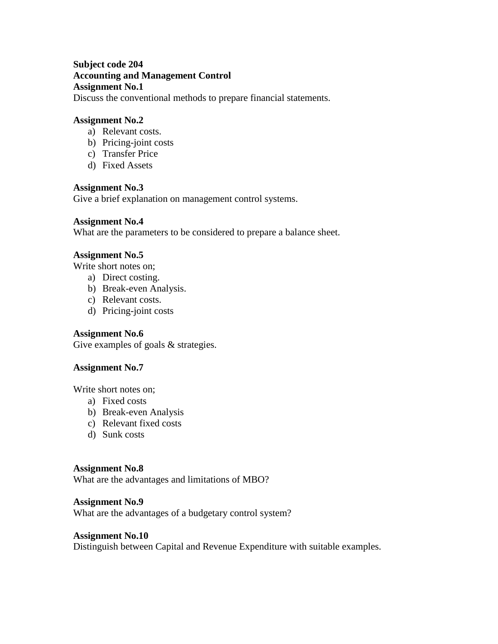# **Subject code 204 Accounting and Management Control Assignment No.1**

Discuss the conventional methods to prepare financial statements.

## **Assignment No.2**

- a) Relevant costs.
- b) Pricing-joint costs
- c) Transfer Price
- d) Fixed Assets

## **Assignment No.3**

Give a brief explanation on management control systems.

## **Assignment No.4**

What are the parameters to be considered to prepare a balance sheet.

## **Assignment No.5**

Write short notes on;

- a) Direct costing.
- b) Break-even Analysis.
- c) Relevant costs.
- d) Pricing-joint costs

# **Assignment No.6**

Give examples of goals  $&$  strategies.

# **Assignment No.7**

Write short notes on;

- a) Fixed costs
- b) Break-even Analysis
- c) Relevant fixed costs
- d) Sunk costs

## **Assignment No.8**

What are the advantages and limitations of MBO?

#### **Assignment No.9**

What are the advantages of a budgetary control system?

## **Assignment No.10**

Distinguish between Capital and Revenue Expenditure with suitable examples.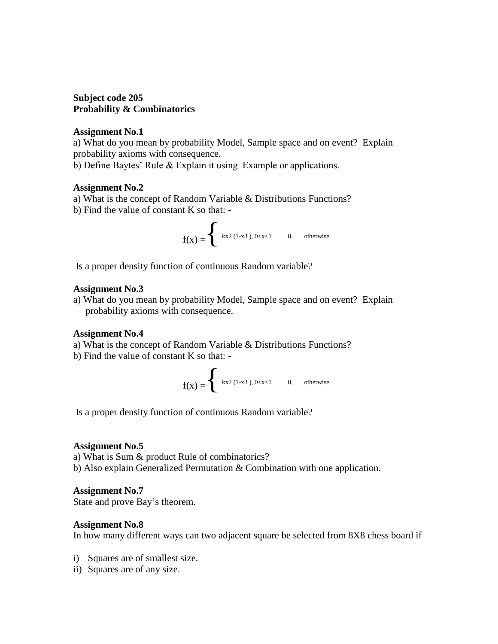# **Subject code 205 Probability & Combinatorics**

#### **Assignment No.1**

a) What do you mean by probability Model, Sample space and on event? Explain probability axioms with consequence.

b) Define Baytes' Rule & Explain it using Example or applications.

## **Assignment No.2**

- a) What is the concept of Random Variable & Distributions Functions?
- b) Find the value of constant K so that: -

$$
f(x) =
$$
  
 $\begin{cases} kx^2 (1-x^3), 0 < x < 1 \\ 0, \text{ otherwise} \end{cases}$  0, otherwise

Is a proper density function of continuous Random variable?

## **Assignment No.3**

a) What do you mean by probability Model, Sample space and on event? Explain probability axioms with consequence.

# **Assignment No.4**

- a) What is the concept of Random Variable & Distributions Functions?
- b) Find the value of constant K so that: -

$$
f(x) = \begin{cases} kx2 (1-x3), 0
$$

Is a proper density function of continuous Random variable?

#### **Assignment No.5**

a) What is Sum & product Rule of combinatorics?

b) Also explain Generalized Permutation & Combination with one application.

# **Assignment No.7**

State and prove Bay's theorem.

# **Assignment No.8**

In how many different ways can two adjacent square be selected from 8X8 chess board if

- i) Squares are of smallest size.
- ii) Squares are of any size.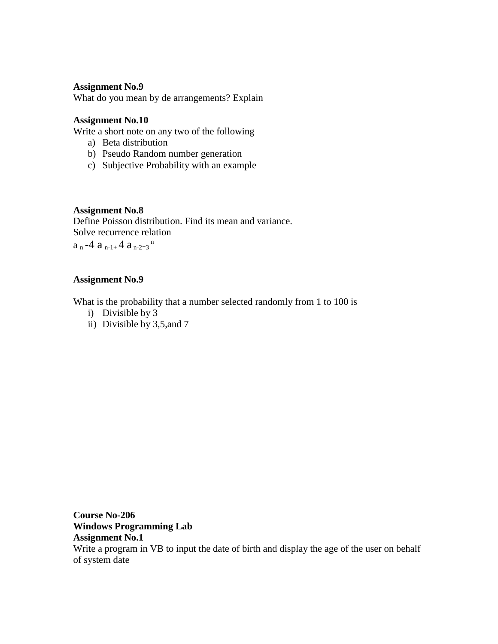# **Assignment No.9**

What do you mean by de arrangements? Explain

# **Assignment No.10**

Write a short note on any two of the following

- a) Beta distribution
- b) Pseudo Random number generation
- c) Subjective Probability with an example

# **Assignment No.8**

Define Poisson distribution. Find its mean and variance. Solve recurrence relation

 $a_n-4 a_{n-1+} 4 a_{n-2=3}$ <sup>n</sup>

# **Assignment No.9**

What is the probability that a number selected randomly from 1 to 100 is

- i) Divisible by 3
- ii) Divisible by 3,5,and 7

**Course No-206 Windows Programming Lab Assignment No.1** Write a program in VB to input the date of birth and display the age of the user on behalf of system date